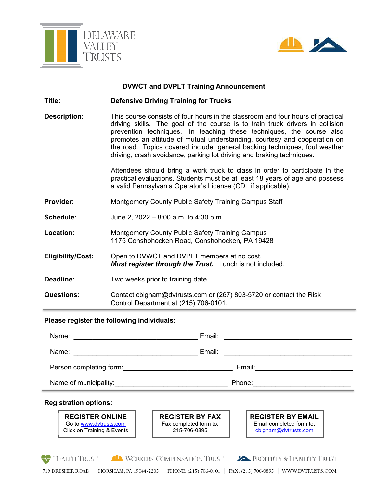



# **DVWCT and DVPLT Training Announcement**

- **Title: Defensive Driving Training for Trucks**
- **Description:** This course consists of four hours in the classroom and four hours of practical driving skills. The goal of the course is to train truck drivers in collision prevention techniques. In teaching these techniques, the course also promotes an attitude of mutual understanding, courtesy and cooperation on the road. Topics covered include: general backing techniques, foul weather driving, crash avoidance, parking lot driving and braking techniques.

Attendees should bring a work truck to class in order to participate in the practical evaluations. Students must be at least 18 years of age and possess a valid Pennsylvania Operator's License (CDL if applicable).

- **Provider:** Montgomery County Public Safety Training Campus Staff
- **Schedule:** June 2, 2022 8:00 a.m. to 4:30 p.m.
- **Location:** Montgomery County Public Safety Training Campus 1175 Conshohocken Road, Conshohocken, PA 19428
- **Eligibility/Cost:** Open to DVWCT and DVPLT members at no cost. *Must register through the Trust.* Lunch is not included.
- **Deadline:** Two weeks prior to training date.
- **Questions:** Contact cbigham@dvtrusts.com or (267) 803-5720 or contact the Risk Control Department at (215) 706-0101.

#### **Please register the following individuals:**

| <b>Registration options:</b>                                                                                                                                                                                                   |                                                                                                                                |
|--------------------------------------------------------------------------------------------------------------------------------------------------------------------------------------------------------------------------------|--------------------------------------------------------------------------------------------------------------------------------|
| Name of municipality:<br><u>Name</u> of municipality:                                                                                                                                                                          | Phone:<br>the contract of the contract of the contract of the contract of the contract of                                      |
| Person completing form: example the set of the set of the set of the set of the set of the set of the set of the set of the set of the set of the set of the set of the set of the set of the set of the set of the set of the | Email:                                                                                                                         |
| Name:<br>the contract of the contract of the contract of the contract of the contract of                                                                                                                                       | Email:<br><u> 1980 - Jan Samuel Barbara, margaret e populazion del control del control del control del control de la provi</u> |
| Name:                                                                                                                                                                                                                          | Email:<br><u> 1980 - Jan Stein Berlin, Amerikaansk kanton (</u>                                                                |

#### **Registration options:**

Ī

**REGISTER ONLINE**  Go to www.dvtrusts.com Click on Training & Events **REGISTER BY FAX**  Fax completed form to: 215-706-0895

**REGISTER BY EMAIL**  Email completed form to: cbigham@dvtrusts.com